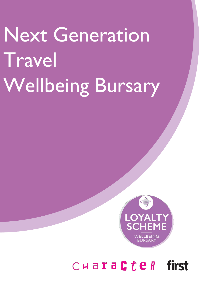# Next Generation Travel Wellbeing Bursary



# $C$ **HaraCteR** first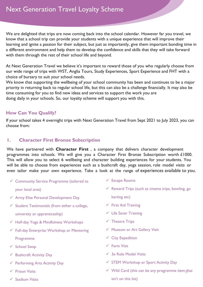We are delighted that trips are now coming back into the school calendar. However far you travel, we know that a school trip can provide your students with a unique experience that will improve their learning and ignite a passion for their subject, but just as importantly, give them important bonding time in a different environment and help them to develop the confidence and skills that they will take forward with them through the rest of their school life and beyond.

At Next Generation Travel we believe it's important to reward those of you who regularly choose from our wide range of trips with WST, Anglia Tours, Study Experiences, Sport Experience and FHT with a choice of bursary to suit your school needs.

We know that supporting the wellbeing of your school community has been and continues to be a major priority in returning back to regular school life, but this can also be a challenge financially. It may also be time consuming for you to find new ideas and services to support the work you are doing daily in your schools. So, our loyalty scheme will support you with this.

#### **How Can You Qualify?**

If your school takes 4 overnight trips with Next Generation Travel from Sept 2021 to July 2023, you can choose from:

#### **1. Character First Bronze Subscription**

We have partnered with **[Character First](https://www.character-first.com/)** , a company that delivers character development programmes into schools. We will give you a Character First Bronze Subscription worth £1000. This will allow you to select 6 wellbeing and character building experiences for your students. You will be able to choose from experiences such as a bushcraft day, yoga session, role model visits or even tailor make your own experience. Take a look at the range of experiences available to you.

 $\checkmark$  Community Service Programme (tailored to

your local area)

- $\checkmark$  Army Elite Personal Development Day
- $\checkmark$  Student Testimonials (from either a college, university or apprenticeship)
- Half-day Yoga & Mindfulness Workshops
- $\checkmark$  Full-day Enterprise Workshop or Mentoring Programme
- $\checkmark$  School Swap
- $\checkmark$  Bushcraft Activity Day
- $\checkmark$  Performing Arts Activity Day
- $\checkmark$  Prison Visits
- $\checkmark$  Stadium Visits
- Escape Rooms
- $\checkmark$  Reward Trips (such as cinema trips, bowling, go
	- karting etc)
- $\checkmark$  First Aid Training
- $\checkmark$  Life Saver Training
- $\checkmark$  Theatre Trips
- Museum or Art Gallery Visit
- $\checkmark$  City Expedition
- Farm Visit
- $\checkmark$  3x Role Model Visits
- $\checkmark$  STEM Workshop or Sport Activity Day
- $\checkmark$  Wild Card (this can be any programme item f  $\checkmark$  fhat isn't on this list)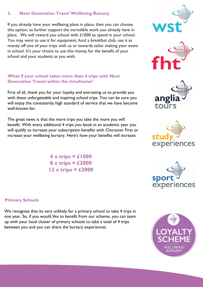#### **2. Next Generation Travel Wellbeing Bursary**

If you already have your wellbeing plans in place, then you can choose this option, to further support the incredible work you already have in place. We will reward you school with £1000 to spend in your school. You may want to use it for equipment, fund a breakfast club, use it as money off one of your trips with us or towards tailor making your event in school. It's your choice to use this money for the benefit of your school and your students as you wish.

#### **What if your school takes more than 4 trips with Next Generation Travel within the timeframe?**

First of all, thank you for your loyalty and entrusting us to provide you with these unforgettable and inspiring school trips. You can be sure you will enjoy the consistently high standard of service that we have become well-known for.

The great news is that the more trips you take the more you will benefit. With every additional 4 trips you book in an academic year you will qualify to increase your subscription benefits with Character First or increase your wellbeing bursary. Here's how your benefits will increase.

> **4 x trips = £1000 8 x trips = £2000 12 x trips = £3000**











#### **Primary Schools**

We recognise that its very unlikely for a primary school to take 4 trips in one year. So, if you would like to benefit from our scheme, you can team up with your local cluster of primary schools to take a total of 4 trips between you and you can share the bursary experiences.

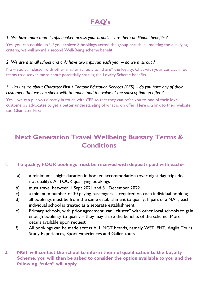## **FAQ's**

#### *1. We have more than 4 trips booked across your brands – are there additional benefits ?*

Yes, you can double up ! If you achieve 8 bookings across the group brands, all meeting the qualifying criteria, we will award a second Well-Being scheme benefit.

#### *2. We are a small school and only have two trips run each year – do we miss out ?*

No – you can cluster with other smaller schools to "share" the loyalty. Chat with your contact in our teams to discover more about potentially sharing the Loyalty Scheme benefits.

#### *3. I'm unsure about Character First / Contour Education Services (CES) – do you have any of their customers that we can speak with to understand the value of the subscription on offer ?*

Yes – we can put you directly in touch with CES so that they can refer you to one of their loyal customers / advocates to get a better understanding of what is on offer. Here is a link to their website too Character First

## **Next Generation Travel Wellbeing Bursary Terms & Conditions**

#### **1. To qualify, FOUR bookings must be received with deposits paid with each:-**

- a) a minimum 1 night duration in booked accommodation (over night day trips do not qualify). All FOUR qualifying bookings
- b) must travel between 1 Sept 2021 and 31 December 2022
- c) a minimum number of 30 paying passengers is required on each individual booking
- d) all bookings must be from the same establishment to qualify. If part of a MAT, each individual school is treated as a separate establishment.
- e) Primary schools, with prior agreement, can "cluster" with other local schools to gain enough bookings to qualify – they may share the benefits of the scheme. More details available upon request
- f) All bookings can be made across ALL NGT brands, namely WST, FHT, Anglia Tours, Study Experiences, Sport Experiences and Galina tours
- **2. NGT will contact the school to inform them of qualification to the Loyalty Scheme, you will then be asked to consider the option available to you and the following "rules" will apply**